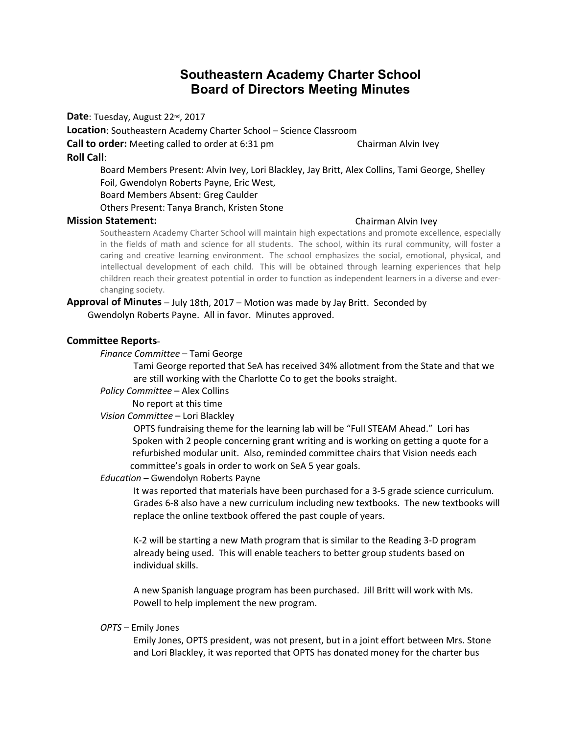# **Southeastern Academy Charter School Board of Directors Meeting Minutes**

**Date**: Tuesday, August 22nd, 2017

**Location**: Southeastern Academy Charter School – Science Classroom

**Call to order:** Meeting called to order at 6:31 pm Chairman Alvin Ivey

#### **Roll Call**:

Board Members Present: Alvin Ivey, Lori Blackley, Jay Britt, Alex Collins, Tami George, Shelley Foil, Gwendolyn Roberts Payne, Eric West, Board Members Absent: Greg Caulder Others Present: Tanya Branch, Kristen Stone

#### **Mission Statement:** Chairman Alvin Ivey

Southeastern Academy Charter School will maintain high expectations and promote excellence, especially in the fields of math and science for all students. The school, within its rural community, will foster a caring and creative learning environment. The school emphasizes the social, emotional, physical, and intellectual development of each child. This will be obtained through learning experiences that help children reach their greatest potential in order to function as independent learners in a diverse and everchanging society.

# **Approval of Minutes** – July 18th, 2017 – Motion was made by Jay Britt. Seconded by

Gwendolyn Roberts Payne. All in favor. Minutes approved.

## **Committee Reports**-

#### *Finance Committee* – Tami George

Tami George reported that SeA has received 34% allotment from the State and that we are still working with the Charlotte Co to get the books straight.

*Policy Committee* – Alex Collins

No report at this time

## *Vision Committee* – Lori Blackley

OPTS fundraising theme for the learning lab will be "Full STEAM Ahead." Lori has Spoken with 2 people concerning grant writing and is working on getting a quote for a refurbished modular unit. Also, reminded committee chairs that Vision needs each committee's goals in order to work on SeA 5 year goals.

#### *Education* – Gwendolyn Roberts Payne

It was reported that materials have been purchased for a 3-5 grade science curriculum. Grades 6-8 also have a new curriculum including new textbooks. The new textbooks will replace the online textbook offered the past couple of years.

K-2 will be starting a new Math program that is similar to the Reading 3-D program already being used. This will enable teachers to better group students based on individual skills.

A new Spanish language program has been purchased. Jill Britt will work with Ms. Powell to help implement the new program.

#### *OPTS* – Emily Jones

Emily Jones, OPTS president, was not present, but in a joint effort between Mrs. Stone and Lori Blackley, it was reported that OPTS has donated money for the charter bus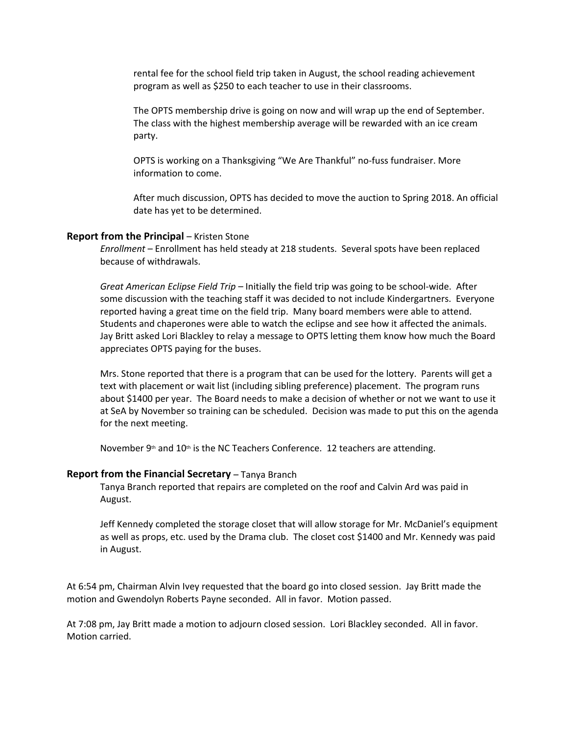rental fee for the school field trip taken in August, the school reading achievement program as well as \$250 to each teacher to use in their classrooms.

The OPTS membership drive is going on now and will wrap up the end of September. The class with the highest membership average will be rewarded with an ice cream party.

OPTS is working on a Thanksgiving "We Are Thankful" no-fuss fundraiser. More information to come.

After much discussion, OPTS has decided to move the auction to Spring 2018. An official date has yet to be determined.

#### **Report from the Principal – Kristen Stone**

*Enrollment* – Enrollment has held steady at 218 students. Several spots have been replaced because of withdrawals.

*Great American Eclipse Field Trip –* Initially the field trip was going to be school-wide. After some discussion with the teaching staff it was decided to not include Kindergartners. Everyone reported having a great time on the field trip. Many board members were able to attend. Students and chaperones were able to watch the eclipse and see how it affected the animals. Jay Britt asked Lori Blackley to relay a message to OPTS letting them know how much the Board appreciates OPTS paying for the buses.

Mrs. Stone reported that there is a program that can be used for the lottery. Parents will get a text with placement or wait list (including sibling preference) placement. The program runs about \$1400 per year. The Board needs to make a decision of whether or not we want to use it at SeA by November so training can be scheduled. Decision was made to put this on the agenda for the next meeting.

November  $9th$  and  $10th$  is the NC Teachers Conference. 12 teachers are attending.

#### **Report from the Financial Secretary** - Tanya Branch

Tanya Branch reported that repairs are completed on the roof and Calvin Ard was paid in August.

Jeff Kennedy completed the storage closet that will allow storage for Mr. McDaniel's equipment as well as props, etc. used by the Drama club. The closet cost \$1400 and Mr. Kennedy was paid in August.

At 6:54 pm, Chairman Alvin Ivey requested that the board go into closed session. Jay Britt made the motion and Gwendolyn Roberts Payne seconded. All in favor. Motion passed.

At 7:08 pm, Jay Britt made a motion to adjourn closed session. Lori Blackley seconded. All in favor. Motion carried.